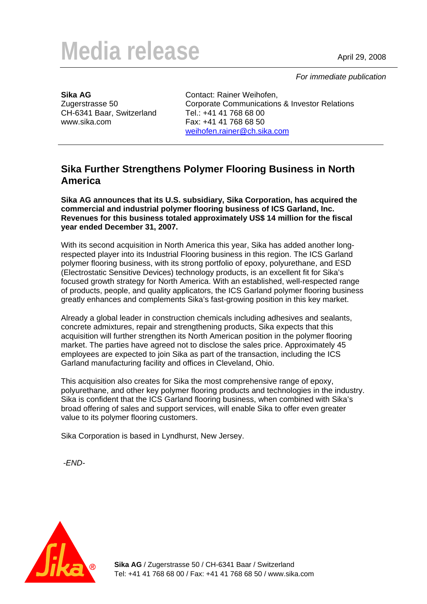## Media release April 29, 2008

 *For immediate publication* 

**Sika AG**  Zugerstrasse 50 CH-6341 Baar, Switzerland www.sika.com

Contact: Rainer Weihofen, Corporate Communications & Investor Relations Tel.: +41 41 768 68 00 Fax: +41 41 768 68 50 [weihofen.rainer@ch.sika.com](mailto:weihofen.rainer@ch.sika.com)

## **Sika Further Strengthens Polymer Flooring Business in North America**

**Sika AG announces that its U.S. subsidiary, Sika Corporation, has acquired the commercial and industrial polymer flooring business of ICS Garland, Inc. Revenues for this business totaled approximately US\$ 14 million for the fiscal year ended December 31, 2007.** 

With its second acquisition in North America this year, Sika has added another longrespected player into its Industrial Flooring business in this region. The ICS Garland polymer flooring business, with its strong portfolio of epoxy, polyurethane, and ESD (Electrostatic Sensitive Devices) technology products, is an excellent fit for Sika's focused growth strategy for North America. With an established, well-respected range of products, people, and quality applicators, the ICS Garland polymer flooring business greatly enhances and complements Sika's fast-growing position in this key market.

Already a global leader in construction chemicals including adhesives and sealants, concrete admixtures, repair and strengthening products, Sika expects that this acquisition will further strengthen its North American position in the polymer flooring market. The parties have agreed not to disclose the sales price. Approximately 45 employees are expected to join Sika as part of the transaction, including the ICS Garland manufacturing facility and offices in Cleveland, Ohio.

This acquisition also creates for Sika the most comprehensive range of epoxy, polyurethane, and other key polymer flooring products and technologies in the industry. Sika is confident that the ICS Garland flooring business, when combined with Sika's broad offering of sales and support services, will enable Sika to offer even greater value to its polymer flooring customers.

Sika Corporation is based in Lyndhurst, New Jersey.

*-END-*